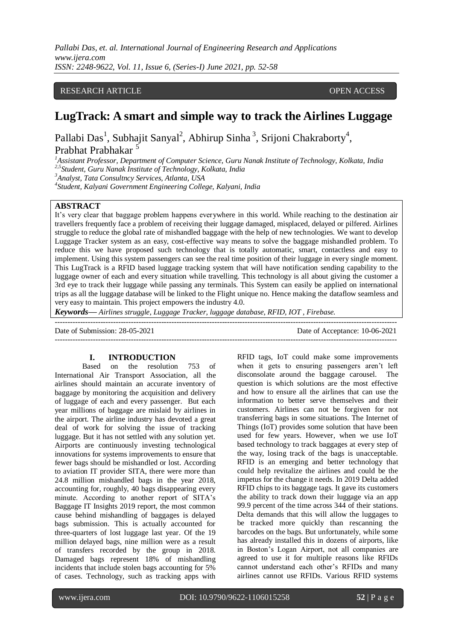## RESEARCH ARTICLE **CONTRACT ARTICLE** AND LOTE OPEN ACCESS OPEN ACCESS

# **LugTrack: A smart and simple way to track the Airlines Luggage**

Pallabi Das<sup>1</sup>, Subhajit Sanyal<sup>2</sup>, Abhirup Sinha<sup>3</sup>, Srijoni Chakraborty<sup>4</sup>, Prabhat Prabhakar <sup>5</sup>

*<sup>1</sup>Assistant Professor, Department of Computer Science, Guru Nanak Institute of Technology, Kolkata, India*

*2,5 Student, Guru Nanak Institute of Technology, Kolkata, India*

*<sup>3</sup>Analyst, Tata Consultncy Services, Atlanta, USA*

*4 Student, Kalyani Government Engineering College, Kalyani, India*

# **ABSTRACT**

It's very clear that baggage problem happens everywhere in this world. While reaching to the destination air travellers frequently face a problem of receiving their luggage damaged, misplaced, delayed or pilfered. Airlines struggle to reduce the global rate of mishandled baggage with the help of new technologies. We want to develop Luggage Tracker system as an easy, cost-effective way means to solve the baggage mishandled problem. To reduce this we have proposed such technology that is totally automatic, smart, contactless and easy to implement. Using this system passengers can see the real time position of their luggage in every single moment. This LugTrack is a RFID based luggage tracking system that will have notification sending capability to the luggage owner of each and every situation while travelling. This technology is all about giving the customer a 3rd eye to track their luggage while passing any terminals. This System can easily be applied on international trips as all the luggage database will be linked to the Flight unique no. Hence making the dataflow seamless and very easy to maintain. This project empowers the industry 4.0.

---------------------------------------------------------------------------------------------------------------------------------------

*Keywords— Airlines struggle, Luggage Tracker, luggage database, RFID, IOT , Firebase.*

---------------------------------------------------------------------------------------------------------------------------------------

Date of Submission: 28-05-2021 Date of Acceptance: 10-06-2021

#### **I. INTRODUCTION**

Based on the resolution 753 of International Air Transport Association, all the airlines should maintain an accurate inventory of baggage by monitoring the acquisition and delivery of luggage of each and every passenger. But each year millions of baggage are mislaid by airlines in the airport. The airline industry has devoted a great deal of work for solving the issue of tracking luggage. But it has not settled with any solution yet. Airports are continuously investing technological innovations for systems improvements to ensure that fewer bags should be mishandled or lost. According to aviation IT provider SITA, there were more than 24.8 million mishandled bags in the year 2018, accounting for, roughly, 40 bags disappearing every minute. According to another report of SITA's Baggage IT Insights 2019 report, the most common cause behind mishandling of baggages is delayed bags submission. This is actually accounted for three-quarters of lost luggage last year. Of the 19 million delayed bags, nine million were as a result of transfers recorded by the group in 2018. Damaged bags represent 18% of mishandling incidents that include stolen bags accounting for 5% of cases. Technology, such as tracking apps with RFID tags, IoT could make some improvements when it gets to ensuring passengers aren't left disconsolate around the baggage carousel. The question is which solutions are the most effective and how to ensure all the airlines that can use the information to better serve themselves and their customers. Airlines can not be forgiven for not transferring bags in some situations. The Internet of Things (IoT) provides some solution that have been used for few years. However, when we use IoT based technology to track baggages at every step of the way, losing track of the bags is unacceptable. RFID is an emerging and better technology that could help revitalize the airlines and could be the impetus for the change it needs. In 2019 Delta added RFID chips to its baggage tags. It gave its customers the ability to track down their luggage via an app 99.9 percent of the time across 344 of their stations. Delta demands that this will allow the luggages to be tracked more quickly than rescanning the barcodes on the bags. But unfortunately, while some has already installed this in dozens of airports, like in Boston's Logan Airport, not all companies are agreed to use it for multiple reasons like RFIDs cannot understand each other's RFIDs and many airlines cannot use RFIDs. Various RFID systems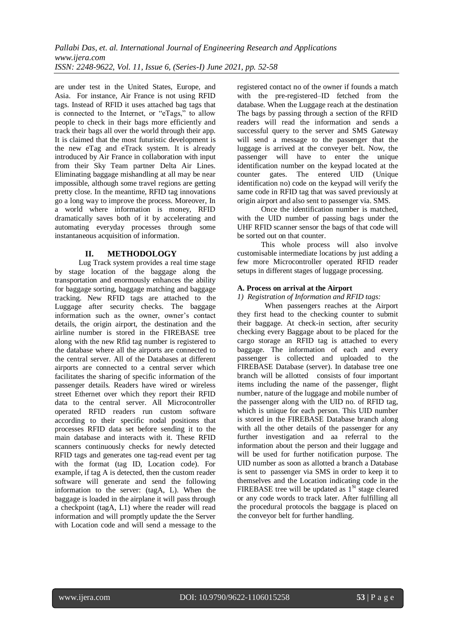are under test in the United States, Europe, and Asia. For instance, Air France is not using RFID tags. Instead of RFID it uses attached bag tags that is connected to the Internet, or "eTags," to allow people to check in their bags more efficiently and track their bags all over the world through their app. It is claimed that the most futuristic development is the new eTag and eTrack system. It is already introduced by Air France in collaboration with input from their Sky Team partner Delta Air Lines. Eliminating baggage mishandling at all may be near impossible, although some travel regions are getting pretty close. In the meantime, RFID tag innovations go a long way to improve the process. Moreover, In a world where information is money, RFID dramatically saves both of it by accelerating and automating everyday processes through some instantaneous acquisition of information.

# **II. METHODOLOGY**

Lug Track system provides a real time stage by stage location of the baggage along the transportation and enormously enhances the ability for baggage sorting, baggage matching and baggage tracking. New RFID tags are attached to the Luggage after security checks. The baggage information such as the owner, owner's contact details, the origin airport, the destination and the airline number is stored in the FIREBASE tree along with the new Rfid tag number is registered to the database where all the airports are connected to the central server. All of the Databases at different airports are connected to a central server which facilitates the sharing of specific information of the passenger details. Readers have wired or wireless street Ethernet over which they report their RFID data to the central server. All Microcontroller operated RFID readers run custom software according to their specific nodal positions that processes RFID data set before sending it to the main database and interacts with it. These RFID scanners continuously checks for newly detected RFID tags and generates one tag-read event per tag with the format (tag ID, Location code). For example, if tag A is detected, then the custom reader software will generate and send the following information to the server: (tagA, L). When the baggage is loaded in the airplane it will pass through a checkpoint (tagA, L1) where the reader will read information and will promptly update the the Server with Location code and will send a message to the

registered contact no of the owner if founds a match with the pre-registered–ID fetched from the database. When the Luggage reach at the destination The bags by passing through a section of the RFID readers will read the information and sends a successful query to the server and SMS Gateway will send a message to the passenger that the luggage is arrived at the conveyer belt. Now, the passenger will have to enter the unique identification number on the keypad located at the counter gates. The entered UID (Unique identification no) code on the keypad will verify the same code in RFID tag that was saved previously at origin airport and also sent to passenger via. SMS.

Once the identification number is matched, with the UID number of passing bags under the UHF RFID scanner sensor the bags of that code will be sorted out on that counter.

This whole process will also involve customisable intermediate locations by just adding a few more Microcontroller operated RFID reader setups in different stages of luggage processing.

# **A. Process on arrival at the Airport**

# *1) Registration of Information and RFID tags:*

When passengers reaches at the Airport they first head to the checking counter to submit their baggage. At check-in section, after security checking every Baggage about to be placed for the cargo storage an RFID tag is attached to every baggage. The information of each and every passenger is collected and uploaded to the FIREBASE Database (server). In database tree one branch will be allotted consists of four important items including the name of the passenger, flight number, nature of the luggage and mobile number of the passenger along with the UID no. of RFID tag, which is unique for each person. This UID number is stored in the FIREBASE Database branch along with all the other details of the passenger for any further investigation and aa referral to the information about the person and their luggage and will be used for further notification purpose. The UID number as soon as allotted a branch a Database is sent to passenger via SMS in order to keep it to themselves and the Location indicating code in the FIREBASE tree will be updated as  $1<sup>St</sup>$  stage cleared or any code words to track later. After fulfilling all the procedural protocols the baggage is placed on the conveyor belt for further handling.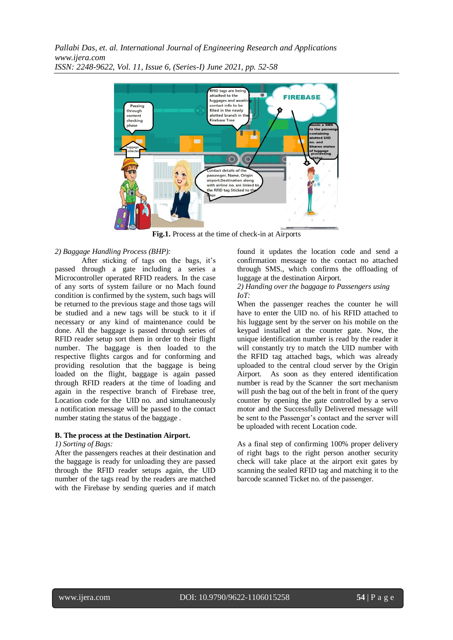

**Fig.1.** Process at the time of check-in at Airports

#### *2) Baggage Handling Process (BHP):*

After sticking of tags on the bags, it's passed through a gate including a series a Microcontroller operated RFID readers. In the case of any sorts of system failure or no Mach found condition is confirmed by the system, such bags will be returned to the previous stage and those tags will be studied and a new tags will be stuck to it if necessary or any kind of maintenance could be done. All the baggage is passed through series of RFID reader setup sort them in order to their flight number. The baggage is then loaded to the respective flights cargos and for conforming and providing resolution that the baggage is being loaded on the flight, baggage is again passed through RFID readers at the time of loading and again in the respective branch of Firebase tree, Location code for the UID no. and simultaneously a notification message will be passed to the contact number stating the status of the baggage .

## **B. The process at the Destination Airport.**

#### *1) Sorting of Bags:*

After the passengers reaches at their destination and the baggage is ready for unloading they are passed through the RFID reader setups again, the UID number of the tags read by the readers are matched with the Firebase by sending queries and if match found it updates the location code and send a confirmation message to the contact no attached through SMS., which confirms the offloading of luggage at the destination Airport.

*2) Handing over the baggage to Passengers using IoT:* 

When the passenger reaches the counter he will have to enter the UID no. of his RFID attached to his luggage sent by the server on his mobile on the keypad installed at the counter gate. Now, the unique identification number is read by the reader it will constantly try to match the UID number with the RFID tag attached bags, which was already uploaded to the central cloud server by the Origin Airport. As soon as they entered identification number is read by the Scanner the sort mechanism will push the bag out of the belt in front of the query counter by opening the gate controlled by a servo motor and the Successfully Delivered message will be sent to the Passenger's contact and the server will be uploaded with recent Location code.

As a final step of confirming 100% proper delivery of right bags to the right person another security check will take place at the airport exit gates by scanning the sealed RFID tag and matching it to the barcode scanned Ticket no. of the passenger.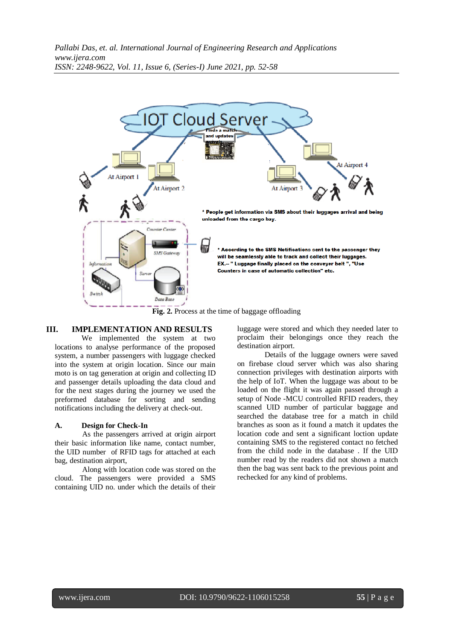

# **III. IMPLEMENTATION AND RESULTS**

We implemented the system at two locations to analyse performance of the proposed system, a number passengers with luggage checked into the system at origin location. Since our main moto is on tag generation at origin and collecting ID and passenger details uploading the data cloud and for the next stages during the journey we used the preformed database for sorting and sending notifications including the delivery at check-out.

## **A. Design for Check-In**

As the passengers arrived at origin airport their basic information like name, contact number, the UID number of RFID tags for attached at each bag, destination airport,

Along with location code was stored on the cloud. The passengers were provided a SMS containing UID no. under which the details of their luggage were stored and which they needed later to proclaim their belongings once they reach the destination airport.

Details of the luggage owners were saved on firebase cloud server which was also sharing connection privileges with destination airports with the help of IoT. When the luggage was about to be loaded on the flight it was again passed through a setup of Node -MCU controlled RFID readers, they scanned UID number of particular baggage and searched the database tree for a match in child branches as soon as it found a match it updates the location code and sent a significant loction update containing SMS to the registered contact no fetched from the child node in the database . If the UID number read by the readers did not shown a match then the bag was sent back to the previous point and rechecked for any kind of problems.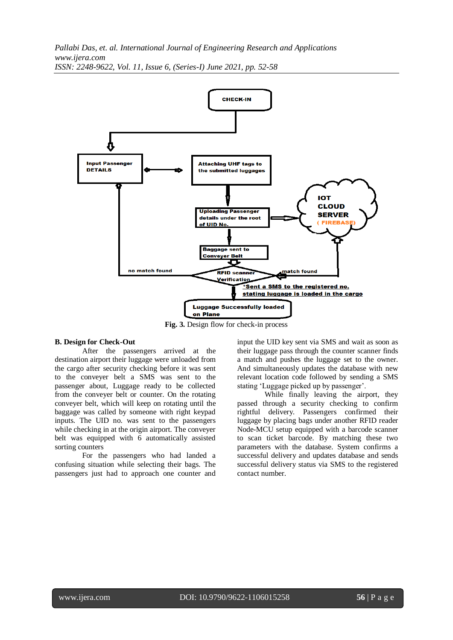

**Fig. 3.** Design flow for check-in process

### **B. Design for Check-Out**

After the passengers arrived at the destination airport their luggage were unloaded from the cargo after security checking before it was sent to the conveyer belt a SMS was sent to the passenger about, Luggage ready to be collected from the conveyer belt or counter. On the rotating conveyer belt, which will keep on rotating until the baggage was called by someone with right keypad inputs. The UID no. was sent to the passengers while checking in at the origin airport. The conveyer belt was equipped with 6 automatically assisted sorting counters

For the passengers who had landed a confusing situation while selecting their bags. The passengers just had to approach one counter and input the UID key sent via SMS and wait as soon as their luggage pass through the counter scanner finds a match and pushes the luggage set to the owner. And simultaneously updates the database with new relevant location code followed by sending a SMS stating 'Luggage picked up by passenger'.

While finally leaving the airport, they passed through a security checking to confirm rightful delivery. Passengers confirmed their luggage by placing bags under another RFID reader Node-MCU setup equipped with a barcode scanner to scan ticket barcode. By matching these two parameters with the database. System confirms a successful delivery and updates database and sends successful delivery status via SMS to the registered contact number.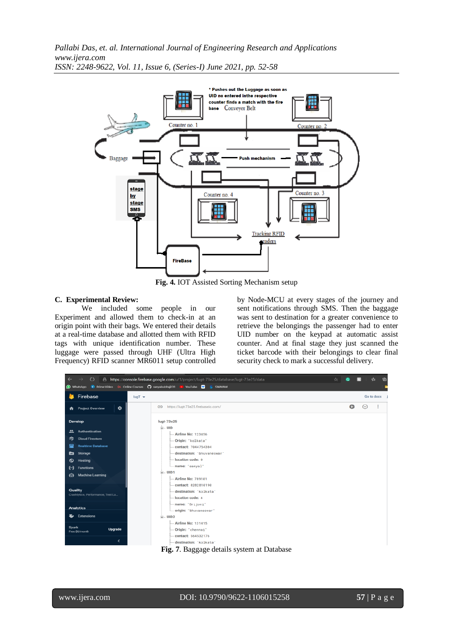

**Fig. 4.** IOT Assisted Sorting Mechanism setup

#### **C. Experimental Review:**

We included some people in our Experiment and allowed them to check-in at an origin point with their bags. We entered their details at a real-time database and allotted them with RFID tags with unique identification number. These luggage were passed through UHF (Ultra High Frequency) RFID scanner MR6011 setup controlled by Node-MCU at every stages of the journey and sent notifications through SMS. Then the baggage was sent to destination for a greater convenience to retrieve the belongings the passenger had to enter UID number on the keypad at automatic assist counter. And at final stage they just scanned the ticket barcode with their belongings to clear final security check to mark a successful delivery.



www.ijera.com DOI: 10.9790/9622-1106015258 **57** | P a g e